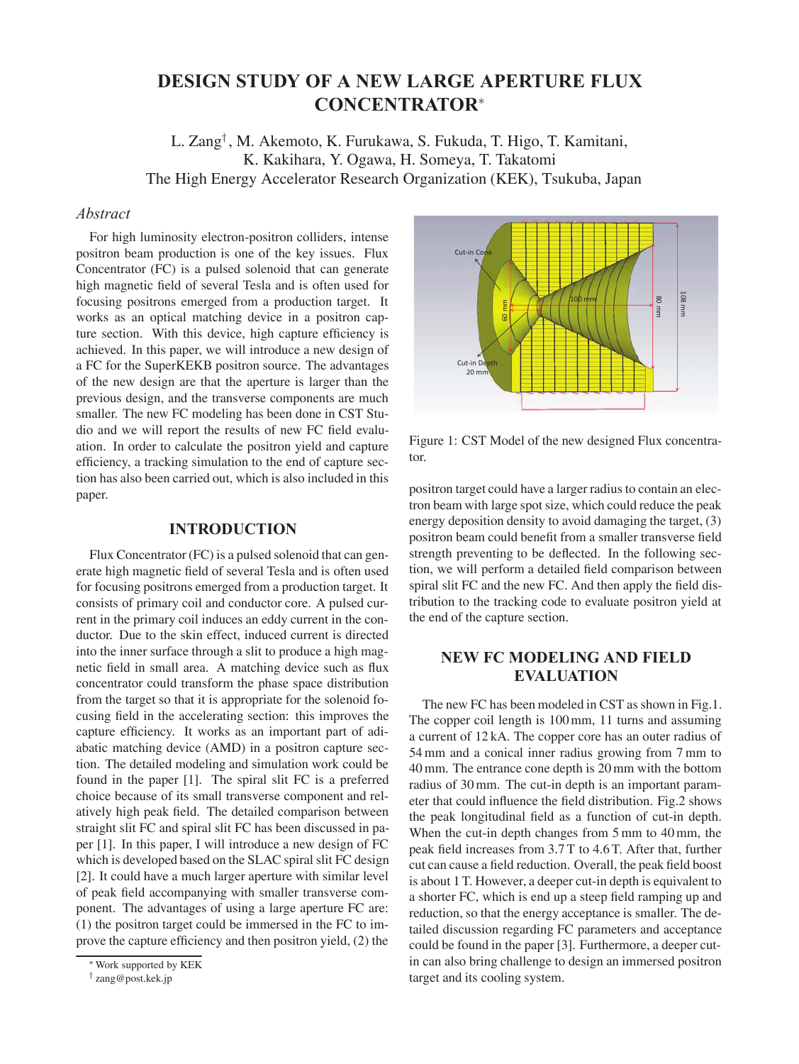# **DESIGN STUDY OF A NEW LARGE APERTURE FLUX CONCENTRATOR**<sup>∗</sup>

L. Zang† , M. Akemoto, K. Furukawa, S. Fukuda, T. Higo, T. Kamitani, K. Kakihara, Y. Ogawa, H. Someya, T. Takatomi The High Energy Accelerator Research Organization (KEK), Tsukuba, Japan

# *Abstract*

For high luminosity electron-positron colliders, intense positron beam production is one of the key issues. Flux Concentrator (FC) is a pulsed solenoid that can generate high magnetic field of several Tesla and is often used for focusing positrons emerged from a production target. It works as an optical matching device in a positron capture section. With this device, high capture efficiency is achieved. In this paper, we will introduce a new design of a FC for the SuperKEKB positron source. The advantages of the new design are that the aperture is larger than the previous design, and the transverse components are much smaller. The new FC modeling has been done in CST Studio and we will report the results of new FC field evaluation. In order to calculate the positron yield and capture efficiency, a tracking simulation to the end of capture section has also been carried out, which is also included in this paper.

#### **INTRODUCTION**

Flux Concentrator (FC) is a pulsed solenoid that can generate high magnetic field of several Tesla and is often used for focusing positrons emerged from a production target. It consists of primary coil and conductor core. A pulsed current in the primary coil induces an eddy current in the conductor. Due to the skin effect, induced current is directed into the inner surface through a slit to produce a high magnetic field in small area. A matching device such as flux concentrator could transform the phase space distribution from the target so that it is appropriate for the solenoid focusing field in the accelerating section: this improves the capture efficiency. It works as an important part of adiabatic matching device (AMD) in a positron capture section. The detailed modeling and simulation work could be found in the paper [1]. The spiral slit FC is a preferred choice because of its small transverse component and relatively high peak field. The detailed comparison between straight slit FC and spiral slit FC has been discussed in paper [1]. In this paper, I will introduce a new design of FC which is developed based on the SLAC spiral slit FC design [2]. It could have a much larger aperture with similar level of peak field accompanying with smaller transverse component. The advantages of using a large aperture FC are: (1) the positron target could be immersed in the FC to improve the capture efficiency and then positron yield, (2) the



Figure 1: CST Model of the new designed Flux concentrator.

positron target could have a larger radius to contain an electron beam with large spot size, which could reduce the peak energy deposition density to avoid damaging the target, (3) positron beam could benefit from a smaller transverse field strength preventing to be deflected. In the following section, we will perform a detailed field comparison between spiral slit FC and the new FC. And then apply the field distribution to the tracking code to evaluate positron yield at the end of the capture section.

# **NEW FC MODELING AND FIELD EVALUATION**

The new FC has been modeled in CST as shown in Fig.1. The copper coil length is 100 mm, 11 turns and assuming a current of 12 kA. The copper core has an outer radius of 54 mm and a conical inner radius growing from 7 mm to 40 mm. The entrance cone depth is 20 mm with the bottom radius of 30 mm. The cut-in depth is an important parameter that could influence the field distribution. Fig.2 shows the peak longitudinal field as a function of cut-in depth. When the cut-in depth changes from 5 mm to 40 mm, the peak field increases from 3.7 T to 4.6 T. After that, further cut can cause a field reduction. Overall, the peak field boost is about 1 T. However, a deeper cut-in depth is equivalent to a shorter FC, which is end up a steep field ramping up and reduction, so that the energy acceptance is smaller. The detailed discussion regarding FC parameters and acceptance could be found in the paper [3]. Furthermore, a deeper cutin can also bring challenge to design an immersed positron target and its cooling system.

<sup>∗</sup>Work supported by KEK

<sup>†</sup> zang@post.kek.jp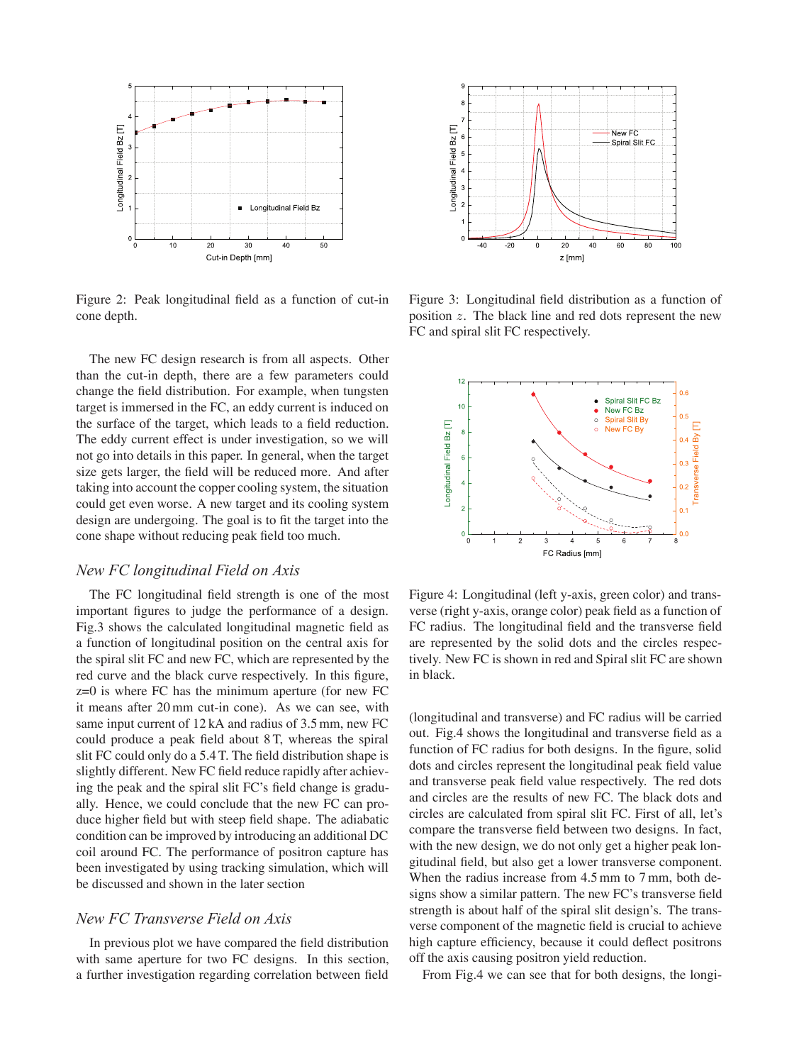

Figure 2: Peak longitudinal field as a function of cut-in cone depth.

The new FC design research is from all aspects. Other than the cut-in depth, there are a few parameters could change the field distribution. For example, when tungsten target is immersed in the FC, an eddy current is induced on the surface of the target, which leads to a field reduction. The eddy current effect is under investigation, so we will not go into details in this paper. In general, when the target size gets larger, the field will be reduced more. And after taking into account the copper cooling system, the situation could get even worse. A new target and its cooling system design are undergoing. The goal is to fit the target into the cone shape without reducing peak field too much.

#### *New FC longitudinal Field on Axis*

The FC longitudinal field strength is one of the most important figures to judge the performance of a design. Fig.3 shows the calculated longitudinal magnetic field as a function of longitudinal position on the central axis for the spiral slit FC and new FC, which are represented by the red curve and the black curve respectively. In this figure, z=0 is where FC has the minimum aperture (for new FC it means after 20 mm cut-in cone). As we can see, with same input current of 12 kA and radius of 3.5 mm, new FC could produce a peak field about 8 T, whereas the spiral slit FC could only do a 5.4 T. The field distribution shape is slightly different. New FC field reduce rapidly after achieving the peak and the spiral slit FC's field change is gradually. Hence, we could conclude that the new FC can produce higher field but with steep field shape. The adiabatic condition can be improved by introducing an additional DC coil around FC. The performance of positron capture has been investigated by using tracking simulation, which will be discussed and shown in the later section

# *New FC Transverse Field on Axis*

In previous plot we have compared the field distribution with same aperture for two FC designs. In this section, a further investigation regarding correlation between field



Figure 3: Longitudinal field distribution as a function of position z. The black line and red dots represent the new FC and spiral slit FC respectively.



Figure 4: Longitudinal (left y-axis, green color) and transverse (right y-axis, orange color) peak field as a function of FC radius. The longitudinal field and the transverse field are represented by the solid dots and the circles respectively. New FC is shown in red and Spiral slit FC are shown in black.

(longitudinal and transverse) and FC radius will be carried out. Fig.4 shows the longitudinal and transverse field as a function of FC radius for both designs. In the figure, solid dots and circles represent the longitudinal peak field value and transverse peak field value respectively. The red dots and circles are the results of new FC. The black dots and circles are calculated from spiral slit FC. First of all, let's compare the transverse field between two designs. In fact, with the new design, we do not only get a higher peak longitudinal field, but also get a lower transverse component. When the radius increase from 4.5 mm to 7 mm, both designs show a similar pattern. The new FC's transverse field strength is about half of the spiral slit design's. The transverse component of the magnetic field is crucial to achieve high capture efficiency, because it could deflect positrons off the axis causing positron yield reduction.

From Fig.4 we can see that for both designs, the longi-